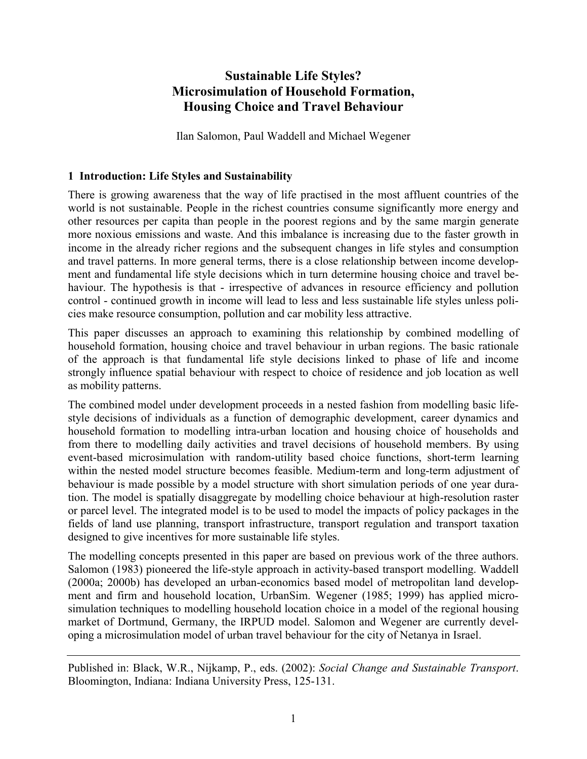# **Sustainable Life Styles? Microsimulation of Household Formation, Housing Choice and Travel Behaviour**

Ilan Salomon, Paul Waddell and Michael Wegener

# **1 Introduction: Life Styles and Sustainability**

There is growing awareness that the way of life practised in the most affluent countries of the world is not sustainable. People in the richest countries consume significantly more energy and other resources per capita than people in the poorest regions and by the same margin generate more noxious emissions and waste. And this imbalance is increasing due to the faster growth in income in the already richer regions and the subsequent changes in life styles and consumption and travel patterns. In more general terms, there is a close relationship between income development and fundamental life style decisions which in turn determine housing choice and travel behaviour. The hypothesis is that - irrespective of advances in resource efficiency and pollution control - continued growth in income will lead to less and less sustainable life styles unless policies make resource consumption, pollution and car mobility less attractive.

This paper discusses an approach to examining this relationship by combined modelling of household formation, housing choice and travel behaviour in urban regions. The basic rationale of the approach is that fundamental life style decisions linked to phase of life and income strongly influence spatial behaviour with respect to choice of residence and job location as well as mobility patterns.

The combined model under development proceeds in a nested fashion from modelling basic lifestyle decisions of individuals as a function of demographic development, career dynamics and household formation to modelling intra-urban location and housing choice of households and from there to modelling daily activities and travel decisions of household members. By using event-based microsimulation with random-utility based choice functions, short-term learning within the nested model structure becomes feasible. Medium-term and long-term adjustment of behaviour is made possible by a model structure with short simulation periods of one year duration. The model is spatially disaggregate by modelling choice behaviour at high-resolution raster or parcel level. The integrated model is to be used to model the impacts of policy packages in the fields of land use planning, transport infrastructure, transport regulation and transport taxation designed to give incentives for more sustainable life styles.

The modelling concepts presented in this paper are based on previous work of the three authors. Salomon (1983) pioneered the life-style approach in activity-based transport modelling. Waddell (2000a; 2000b) has developed an urban-economics based model of metropolitan land development and firm and household location, UrbanSim. Wegener (1985; 1999) has applied microsimulation techniques to modelling household location choice in a model of the regional housing market of Dortmund, Germany, the IRPUD model. Salomon and Wegener are currently developing a microsimulation model of urban travel behaviour for the city of Netanya in Israel.

Published in: Black, W.R., Nijkamp, P., eds. (2002): *Social Change and Sustainable Transport*. Bloomington, Indiana: Indiana University Press, 125-131.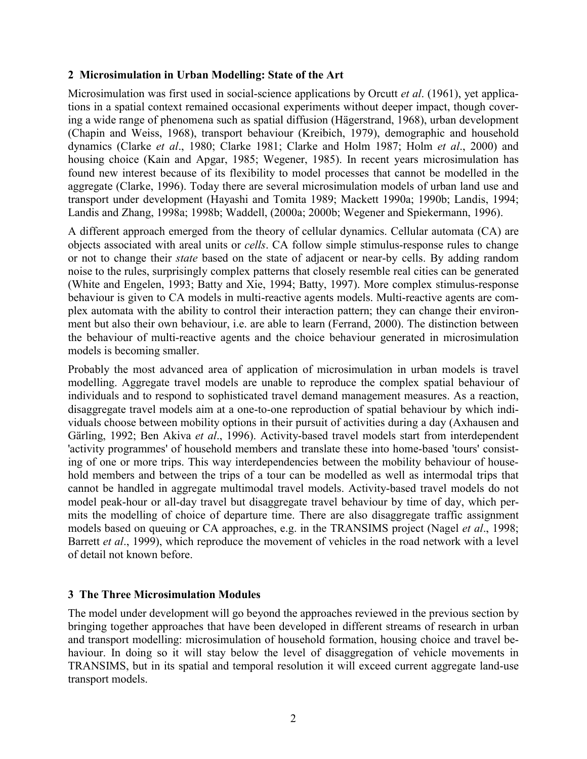#### **2 Microsimulation in Urban Modelling: State of the Art**

Microsimulation was first used in social-science applications by Orcutt *et al*. (1961), yet applications in a spatial context remained occasional experiments without deeper impact, though covering a wide range of phenomena such as spatial diffusion (Hägerstrand, 1968), urban development (Chapin and Weiss, 1968), transport behaviour (Kreibich, 1979), demographic and household dynamics (Clarke *et al*., 1980; Clarke 1981; Clarke and Holm 1987; Holm *et al*., 2000) and housing choice (Kain and Apgar, 1985; Wegener, 1985). In recent years microsimulation has found new interest because of its flexibility to model processes that cannot be modelled in the aggregate (Clarke, 1996). Today there are several microsimulation models of urban land use and transport under development (Hayashi and Tomita 1989; Mackett 1990a; 1990b; Landis, 1994; Landis and Zhang, 1998a; 1998b; Waddell, (2000a; 2000b; Wegener and Spiekermann, 1996).

A different approach emerged from the theory of cellular dynamics. Cellular automata (CA) are objects associated with areal units or *cells*. CA follow simple stimulus-response rules to change or not to change their *state* based on the state of adjacent or near-by cells. By adding random noise to the rules, surprisingly complex patterns that closely resemble real cities can be generated (White and Engelen, 1993; Batty and Xie, 1994; Batty, 1997). More complex stimulus-response behaviour is given to CA models in multi-reactive agents models. Multi-reactive agents are complex automata with the ability to control their interaction pattern; they can change their environment but also their own behaviour, i.e. are able to learn (Ferrand, 2000). The distinction between the behaviour of multi-reactive agents and the choice behaviour generated in microsimulation models is becoming smaller.

Probably the most advanced area of application of microsimulation in urban models is travel modelling. Aggregate travel models are unable to reproduce the complex spatial behaviour of individuals and to respond to sophisticated travel demand management measures. As a reaction, disaggregate travel models aim at a one-to-one reproduction of spatial behaviour by which individuals choose between mobility options in their pursuit of activities during a day (Axhausen and Gärling, 1992; Ben Akiva *et al*., 1996). Activity-based travel models start from interdependent 'activity programmes' of household members and translate these into home-based 'tours' consisting of one or more trips. This way interdependencies between the mobility behaviour of household members and between the trips of a tour can be modelled as well as intermodal trips that cannot be handled in aggregate multimodal travel models. Activity-based travel models do not model peak-hour or all-day travel but disaggregate travel behaviour by time of day, which permits the modelling of choice of departure time. There are also disaggregate traffic assignment models based on queuing or CA approaches, e.g. in the TRANSIMS project (Nagel *et al*., 1998; Barrett *et al*., 1999), which reproduce the movement of vehicles in the road network with a level of detail not known before.

#### **3 The Three Microsimulation Modules**

The model under development will go beyond the approaches reviewed in the previous section by bringing together approaches that have been developed in different streams of research in urban and transport modelling: microsimulation of household formation, housing choice and travel behaviour. In doing so it will stay below the level of disaggregation of vehicle movements in TRANSIMS, but in its spatial and temporal resolution it will exceed current aggregate land-use transport models.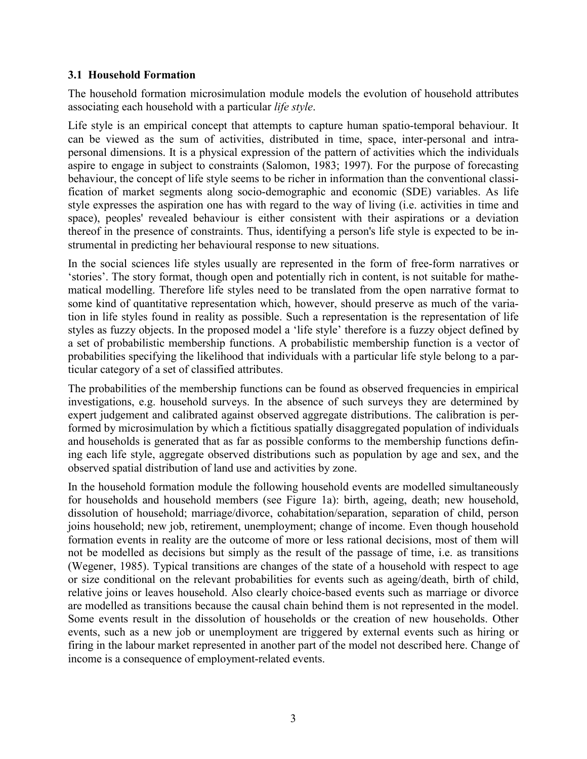#### **3.1 Household Formation**

The household formation microsimulation module models the evolution of household attributes associating each household with a particular *life style*.

Life style is an empirical concept that attempts to capture human spatio-temporal behaviour. It can be viewed as the sum of activities, distributed in time, space, inter-personal and intrapersonal dimensions. It is a physical expression of the pattern of activities which the individuals aspire to engage in subject to constraints (Salomon, 1983; 1997). For the purpose of forecasting behaviour, the concept of life style seems to be richer in information than the conventional classification of market segments along socio-demographic and economic (SDE) variables. As life style expresses the aspiration one has with regard to the way of living (i.e. activities in time and space), peoples' revealed behaviour is either consistent with their aspirations or a deviation thereof in the presence of constraints. Thus, identifying a person's life style is expected to be instrumental in predicting her behavioural response to new situations.

In the social sciences life styles usually are represented in the form of free-form narratives or 'stories'. The story format, though open and potentially rich in content, is not suitable for mathematical modelling. Therefore life styles need to be translated from the open narrative format to some kind of quantitative representation which, however, should preserve as much of the variation in life styles found in reality as possible. Such a representation is the representation of life styles as fuzzy objects. In the proposed model a 'life style' therefore is a fuzzy object defined by a set of probabilistic membership functions. A probabilistic membership function is a vector of probabilities specifying the likelihood that individuals with a particular life style belong to a particular category of a set of classified attributes.

The probabilities of the membership functions can be found as observed frequencies in empirical investigations, e.g. household surveys. In the absence of such surveys they are determined by expert judgement and calibrated against observed aggregate distributions. The calibration is performed by microsimulation by which a fictitious spatially disaggregated population of individuals and households is generated that as far as possible conforms to the membership functions defining each life style, aggregate observed distributions such as population by age and sex, and the observed spatial distribution of land use and activities by zone.

In the household formation module the following household events are modelled simultaneously for households and household members (see Figure 1a): birth, ageing, death; new household, dissolution of household; marriage/divorce, cohabitation/separation, separation of child, person joins household; new job, retirement, unemployment; change of income. Even though household formation events in reality are the outcome of more or less rational decisions, most of them will not be modelled as decisions but simply as the result of the passage of time, i.e. as transitions (Wegener, 1985). Typical transitions are changes of the state of a household with respect to age or size conditional on the relevant probabilities for events such as ageing/death, birth of child, relative joins or leaves household. Also clearly choice-based events such as marriage or divorce are modelled as transitions because the causal chain behind them is not represented in the model. Some events result in the dissolution of households or the creation of new households. Other events, such as a new job or unemployment are triggered by external events such as hiring or firing in the labour market represented in another part of the model not described here. Change of income is a consequence of employment-related events.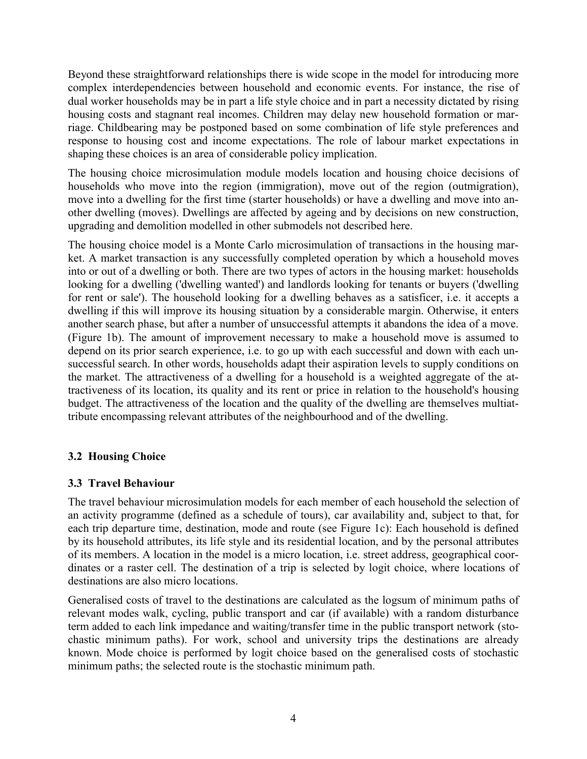Beyond these straightforward relationships there is wide scope in the model for introducing more complex interdependencies between household and economic events. For instance, the rise of dual worker households may be in part a life style choice and in part a necessity dictated by rising housing costs and stagnant real incomes. Children may delay new household formation or marriage. Childbearing may be postponed based on some combination of life style preferences and response to housing cost and income expectations. The role of labour market expectations in shaping these choices is an area of considerable policy implication.

The housing choice microsimulation module models location and housing choice decisions of households who move into the region (immigration), move out of the region (outmigration), move into a dwelling for the first time (starter households) or have a dwelling and move into another dwelling (moves). Dwellings are affected by ageing and by decisions on new construction, upgrading and demolition modelled in other submodels not described here.

The housing choice model is a Monte Carlo microsimulation of transactions in the housing market. A market transaction is any successfully completed operation by which a household moves into or out of a dwelling or both. There are two types of actors in the housing market: households looking for a dwelling ('dwelling wanted') and landlords looking for tenants or buyers ('dwelling for rent or sale'). The household looking for a dwelling behaves as a satisficer, i.e. it accepts a dwelling if this will improve its housing situation by a considerable margin. Otherwise, it enters another search phase, but after a number of unsuccessful attempts it abandons the idea of a move. (Figure 1b). The amount of improvement necessary to make a household move is assumed to depend on its prior search experience, i.e. to go up with each successful and down with each unsuccessful search. In other words, households adapt their aspiration levels to supply conditions on the market. The attractiveness of a dwelling for a household is a weighted aggregate of the attractiveness of its location, its quality and its rent or price in relation to the household's housing budget. The attractiveness of the location and the quality of the dwelling are themselves multiattribute encompassing relevant attributes of the neighbourhood and of the dwelling.

# **3.2 Housing Choice**

# **3.3 Travel Behaviour**

The travel behaviour microsimulation models for each member of each household the selection of an activity programme (defined as a schedule of tours), car availability and, subject to that, for each trip departure time, destination, mode and route (see Figure 1c): Each household is defined by its household attributes, its life style and its residential location, and by the personal attributes of its members. A location in the model is a micro location, i.e. street address, geographical coordinates or a raster cell. The destination of a trip is selected by logit choice, where locations of destinations are also micro locations.

Generalised costs of travel to the destinations are calculated as the logsum of minimum paths of relevant modes walk, cycling, public transport and car (if available) with a random disturbance term added to each link impedance and waiting/transfer time in the public transport network (stochastic minimum paths). For work, school and university trips the destinations are already known. Mode choice is performed by logit choice based on the generalised costs of stochastic minimum paths; the selected route is the stochastic minimum path.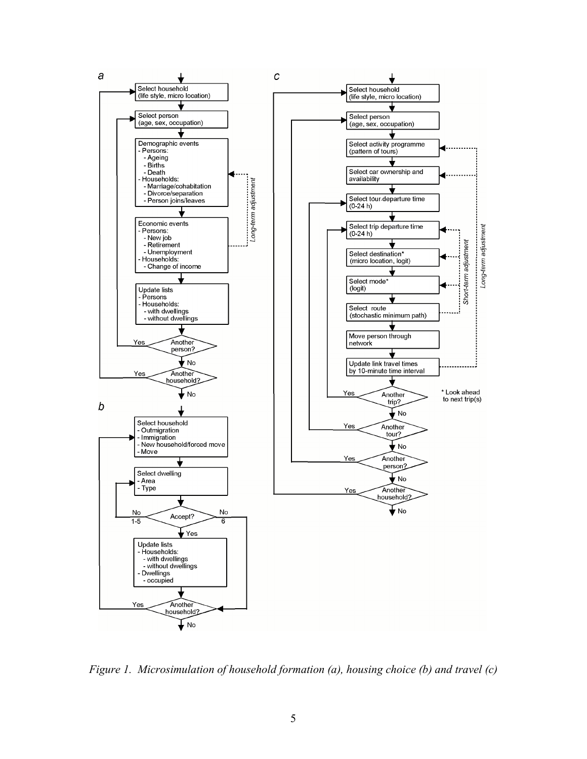

*Figure 1. Microsimulation of household formation (a), housing choice (b) and travel (c)*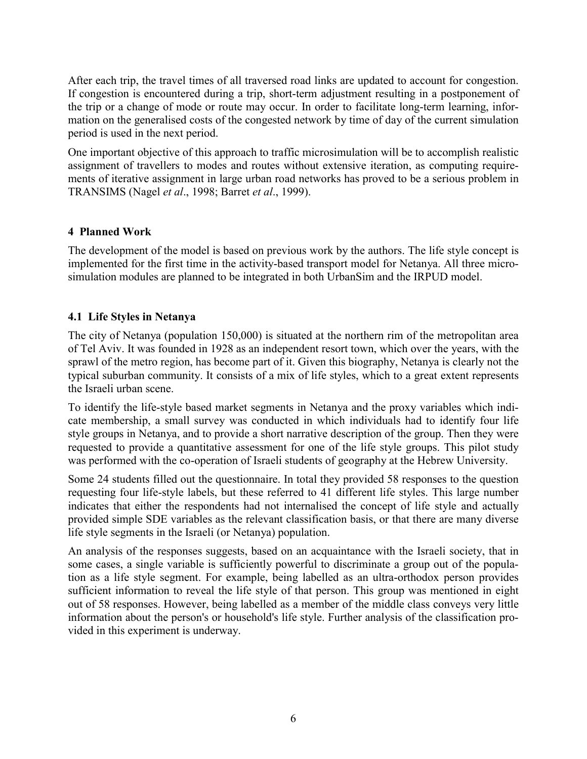After each trip, the travel times of all traversed road links are updated to account for congestion. If congestion is encountered during a trip, short-term adjustment resulting in a postponement of the trip or a change of mode or route may occur. In order to facilitate long-term learning, information on the generalised costs of the congested network by time of day of the current simulation period is used in the next period.

One important objective of this approach to traffic microsimulation will be to accomplish realistic assignment of travellers to modes and routes without extensive iteration, as computing requirements of iterative assignment in large urban road networks has proved to be a serious problem in TRANSIMS (Nagel *et al*., 1998; Barret *et al*., 1999).

# **4 Planned Work**

The development of the model is based on previous work by the authors. The life style concept is implemented for the first time in the activity-based transport model for Netanya. All three microsimulation modules are planned to be integrated in both UrbanSim and the IRPUD model.

#### **4.1 Life Styles in Netanya**

The city of Netanya (population 150,000) is situated at the northern rim of the metropolitan area of Tel Aviv. It was founded in 1928 as an independent resort town, which over the years, with the sprawl of the metro region, has become part of it. Given this biography, Netanya is clearly not the typical suburban community. It consists of a mix of life styles, which to a great extent represents the Israeli urban scene.

To identify the life-style based market segments in Netanya and the proxy variables which indicate membership, a small survey was conducted in which individuals had to identify four life style groups in Netanya, and to provide a short narrative description of the group. Then they were requested to provide a quantitative assessment for one of the life style groups. This pilot study was performed with the co-operation of Israeli students of geography at the Hebrew University.

Some 24 students filled out the questionnaire. In total they provided 58 responses to the question requesting four life-style labels, but these referred to 41 different life styles. This large number indicates that either the respondents had not internalised the concept of life style and actually provided simple SDE variables as the relevant classification basis, or that there are many diverse life style segments in the Israeli (or Netanya) population.

An analysis of the responses suggests, based on an acquaintance with the Israeli society, that in some cases, a single variable is sufficiently powerful to discriminate a group out of the population as a life style segment. For example, being labelled as an ultra-orthodox person provides sufficient information to reveal the life style of that person. This group was mentioned in eight out of 58 responses. However, being labelled as a member of the middle class conveys very little information about the person's or household's life style. Further analysis of the classification provided in this experiment is underway.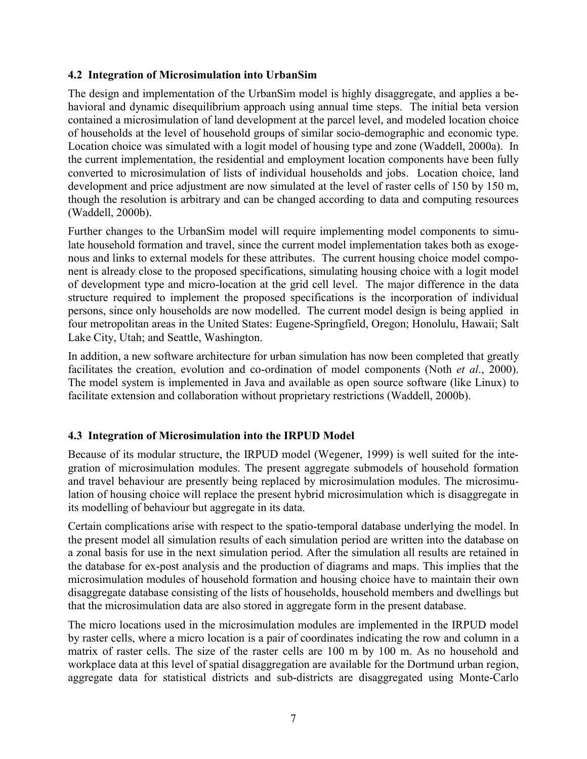# **4.2 Integration of Microsimulation into UrbanSim**

The design and implementation of the UrbanSim model is highly disaggregate, and applies a behavioral and dynamic disequilibrium approach using annual time steps. The initial beta version contained a microsimulation of land development at the parcel level, and modeled location choice of households at the level of household groups of similar socio-demographic and economic type. Location choice was simulated with a logit model of housing type and zone (Waddell, 2000a). In the current implementation, the residential and employment location components have been fully converted to microsimulation of lists of individual households and jobs. Location choice, land development and price adjustment are now simulated at the level of raster cells of 150 by 150 m, though the resolution is arbitrary and can be changed according to data and computing resources (Waddell, 2000b).

Further changes to the UrbanSim model will require implementing model components to simulate household formation and travel, since the current model implementation takes both as exogenous and links to external models for these attributes. The current housing choice model component is already close to the proposed specifications, simulating housing choice with a logit model of development type and micro-location at the grid cell level. The major difference in the data structure required to implement the proposed specifications is the incorporation of individual persons, since only households are now modelled. The current model design is being applied in four metropolitan areas in the United States: Eugene-Springfield, Oregon; Honolulu, Hawaii; Salt Lake City, Utah; and Seattle, Washington.

In addition, a new software architecture for urban simulation has now been completed that greatly facilitates the creation, evolution and co-ordination of model components (Noth *et al*., 2000). The model system is implemented in Java and available as open source software (like Linux) to facilitate extension and collaboration without proprietary restrictions (Waddell, 2000b).

# **4.3 Integration of Microsimulation into the IRPUD Model**

Because of its modular structure, the IRPUD model (Wegener, 1999) is well suited for the integration of microsimulation modules. The present aggregate submodels of household formation and travel behaviour are presently being replaced by microsimulation modules. The microsimulation of housing choice will replace the present hybrid microsimulation which is disaggregate in its modelling of behaviour but aggregate in its data.

Certain complications arise with respect to the spatio-temporal database underlying the model. In the present model all simulation results of each simulation period are written into the database on a zonal basis for use in the next simulation period. After the simulation all results are retained in the database for ex-post analysis and the production of diagrams and maps. This implies that the microsimulation modules of household formation and housing choice have to maintain their own disaggregate database consisting of the lists of households, household members and dwellings but that the microsimulation data are also stored in aggregate form in the present database.

The micro locations used in the microsimulation modules are implemented in the IRPUD model by raster cells, where a micro location is a pair of coordinates indicating the row and column in a matrix of raster cells. The size of the raster cells are 100 m by 100 m. As no household and workplace data at this level of spatial disaggregation are available for the Dortmund urban region, aggregate data for statistical districts and sub-districts are disaggregated using Monte-Carlo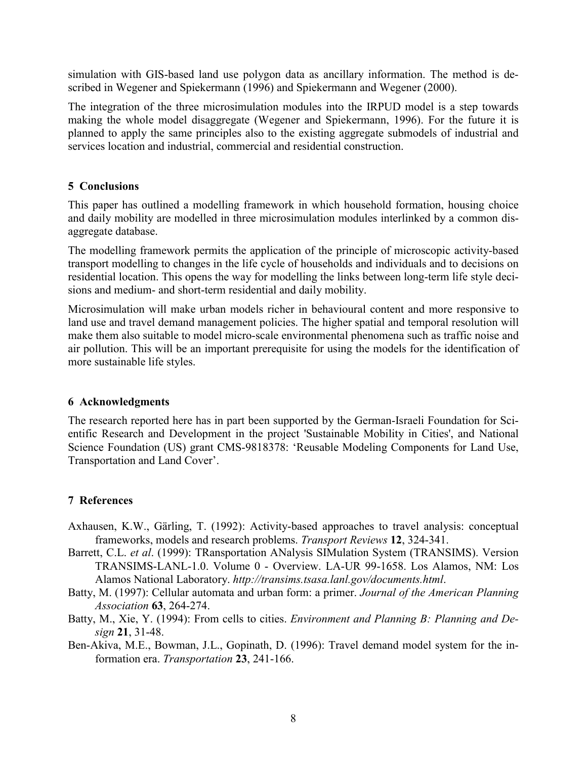simulation with GIS-based land use polygon data as ancillary information. The method is described in Wegener and Spiekermann (1996) and Spiekermann and Wegener (2000).

The integration of the three microsimulation modules into the IRPUD model is a step towards making the whole model disaggregate (Wegener and Spiekermann, 1996). For the future it is planned to apply the same principles also to the existing aggregate submodels of industrial and services location and industrial, commercial and residential construction.

#### **5 Conclusions**

This paper has outlined a modelling framework in which household formation, housing choice and daily mobility are modelled in three microsimulation modules interlinked by a common disaggregate database.

The modelling framework permits the application of the principle of microscopic activity-based transport modelling to changes in the life cycle of households and individuals and to decisions on residential location. This opens the way for modelling the links between long-term life style decisions and medium- and short-term residential and daily mobility.

Microsimulation will make urban models richer in behavioural content and more responsive to land use and travel demand management policies. The higher spatial and temporal resolution will make them also suitable to model micro-scale environmental phenomena such as traffic noise and air pollution. This will be an important prerequisite for using the models for the identification of more sustainable life styles.

#### **6 Acknowledgments**

The research reported here has in part been supported by the German-Israeli Foundation for Scientific Research and Development in the project 'Sustainable Mobility in Cities', and National Science Foundation (US) grant CMS-9818378: 'Reusable Modeling Components for Land Use, Transportation and Land Cover'.

# **7 References**

- Axhausen, K.W., Gärling, T. (1992): Activity-based approaches to travel analysis: conceptual frameworks, models and research problems. *Transport Reviews* **12**, 324-341.
- Barrett, C.L. *et al*. (1999): TRansportation ANalysis SIMulation System (TRANSIMS). Version TRANSIMS-LANL-1.0. Volume 0 - Overview. LA-UR 99-1658. Los Alamos, NM: Los Alamos National Laboratory. *http://transims.tsasa.lanl.gov/documents.html*.
- Batty, M. (1997): Cellular automata and urban form: a primer. *Journal of the American Planning Association* **63**, 264-274.
- Batty, M., Xie, Y. (1994): From cells to cities. *Environment and Planning B: Planning and Design* **21**, 31-48.
- Ben-Akiva, M.E., Bowman, J.L., Gopinath, D. (1996): Travel demand model system for the information era. *Transportation* **23**, 241-166.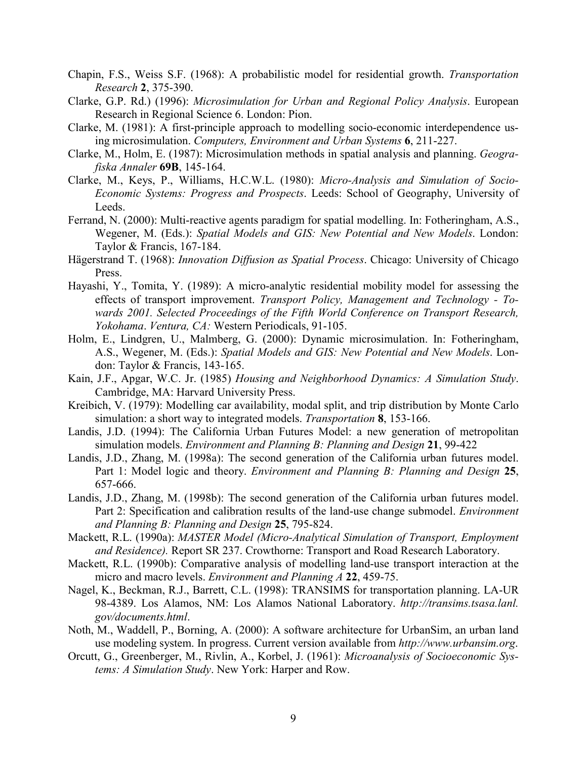- Chapin, F.S., Weiss S.F. (1968): A probabilistic model for residential growth. *Transportation Research* **2**, 375-390.
- Clarke, G.P. Rd.) (1996): *Microsimulation for Urban and Regional Policy Analysis*. European Research in Regional Science 6. London: Pion.
- Clarke, M. (1981): A first-principle approach to modelling socio-economic interdependence using microsimulation. *Computers, Environment and Urban Systems* **6**, 211-227.
- Clarke, M., Holm, E. (1987): Microsimulation methods in spatial analysis and planning. *Geografiska Annaler* **69B**, 145-164.
- Clarke, M., Keys, P., Williams, H.C.W.L. (1980): *Micro-Analysis and Simulation of Socio-Economic Systems: Progress and Prospects*. Leeds: School of Geography, University of Leeds.
- Ferrand, N. (2000): Multi-reactive agents paradigm for spatial modelling. In: Fotheringham, A.S., Wegener, M. (Eds.): *Spatial Models and GIS: New Potential and New Models*. London: Taylor & Francis, 167-184.
- Hägerstrand T. (1968): *Innovation Diffusion as Spatial Process*. Chicago: University of Chicago Press.
- Hayashi, Y., Tomita, Y. (1989): A micro-analytic residential mobility model for assessing the effects of transport improvement. *Transport Policy, Management and Technology - Towards 2001. Selected Proceedings of the Fifth World Conference on Transport Research, Yokohama*. *Ventura, CA:* Western Periodicals, 91-105.
- Holm, E., Lindgren, U., Malmberg, G. (2000): Dynamic microsimulation. In: Fotheringham, A.S., Wegener, M. (Eds.): *Spatial Models and GIS: New Potential and New Models*. London: Taylor & Francis, 143-165.
- Kain, J.F., Apgar, W.C. Jr. (1985) *Housing and Neighborhood Dynamics: A Simulation Study*. Cambridge, MA: Harvard University Press.
- Kreibich, V. (1979): Modelling car availability, modal split, and trip distribution by Monte Carlo simulation: a short way to integrated models. *Transportation* **8**, 153-166.
- Landis, J.D. (1994): The California Urban Futures Model: a new generation of metropolitan simulation models. *Environment and Planning B: Planning and Design* **21**, 99-422
- Landis, J.D., Zhang, M. (1998a): The second generation of the California urban futures model. Part 1: Model logic and theory. *Environment and Planning B: Planning and Design* **25**, 657-666.
- Landis, J.D., Zhang, M. (1998b): The second generation of the California urban futures model. Part 2: Specification and calibration results of the land-use change submodel. *Environment and Planning B: Planning and Design* **25**, 795-824.
- Mackett, R.L. (1990a): *MASTER Model (Micro-Analytical Simulation of Transport, Employment and Residence).* Report SR 237. Crowthorne: Transport and Road Research Laboratory.
- Mackett, R.L. (1990b): Comparative analysis of modelling land-use transport interaction at the micro and macro levels. *Environment and Planning A* **22**, 459-75.
- Nagel, K., Beckman, R.J., Barrett, C.L. (1998): TRANSIMS for transportation planning. LA-UR 98-4389. Los Alamos, NM: Los Alamos National Laboratory. *http://transims.tsasa.lanl. gov/documents.html*.
- Noth, M., Waddell, P., Borning, A. (2000): A software architecture for UrbanSim, an urban land use modeling system. In progress. Current version available from *http://www.urbansim.org*.
- Orcutt, G., Greenberger, M., Rivlin, A., Korbel, J. (1961): *Microanalysis of Socioeconomic Systems: A Simulation Study*. New York: Harper and Row.